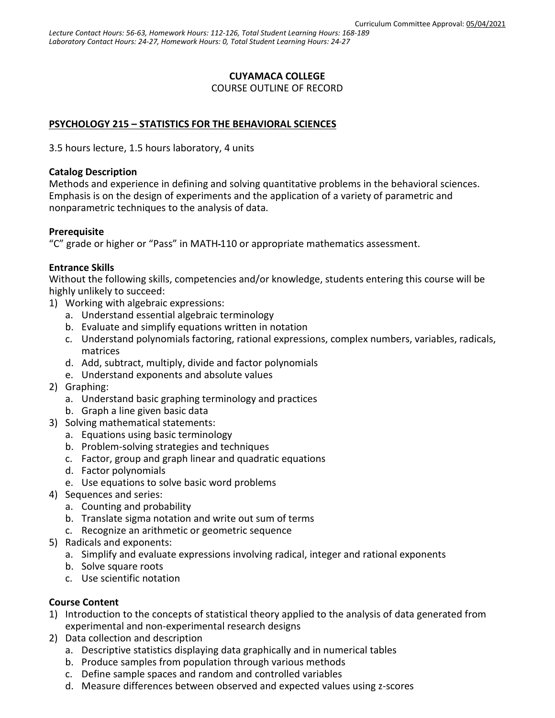### **CUYAMACA COLLEGE**

COURSE OUTLINE OF RECORD

### **PSYCHOLOGY 215 – STATISTICS FOR THE BEHAVIORAL SCIENCES**

3.5 hours lecture, 1.5 hours laboratory, 4 units

#### **Catalog Description**

Methods and experience in defining and solving quantitative problems in the behavioral sciences. Emphasis is on the design of experiments and the application of a variety of parametric and nonparametric techniques to the analysis of data.

### **Prerequisite**

"C" grade or higher or "Pass" in MATH 110 or appropriate mathematics assessment.

### **Entrance Skills**

Without the following skills, competencies and/or knowledge, students entering this course will be highly unlikely to succeed:

- 1) Working with algebraic expressions:
	- a. Understand essential algebraic terminology
	- b. Evaluate and simplify equations written in notation
	- c. Understand polynomials factoring, rational expressions, complex numbers, variables, radicals, matrices
	- d. Add, subtract, multiply, divide and factor polynomials
	- e. Understand exponents and absolute values
- 2) Graphing:
	- a. Understand basic graphing terminology and practices
	- b. Graph a line given basic data
- 3) Solving mathematical statements:
	- a. Equations using basic terminology
	- b. Problem-solving strategies and techniques
	- c. Factor, group and graph linear and quadratic equations
	- d. Factor polynomials
	- e. Use equations to solve basic word problems
- 4) Sequences and series:
	- a. Counting and probability
	- b. Translate sigma notation and write out sum of terms
	- c. Recognize an arithmetic or geometric sequence
- 5) Radicals and exponents:
	- a. Simplify and evaluate expressions involving radical, integer and rational exponents
	- b. Solve square roots
	- c. Use scientific notation

### **Course Content**

- 1) Introduction to the concepts of statistical theory applied to the analysis of data generated from experimental and non-experimental research designs
- 2) Data collection and description
	- a. Descriptive statistics displaying data graphically and in numerical tables
	- b. Produce samples from population through various methods
	- c. Define sample spaces and random and controlled variables
	- d. Measure differences between observed and expected values using z-scores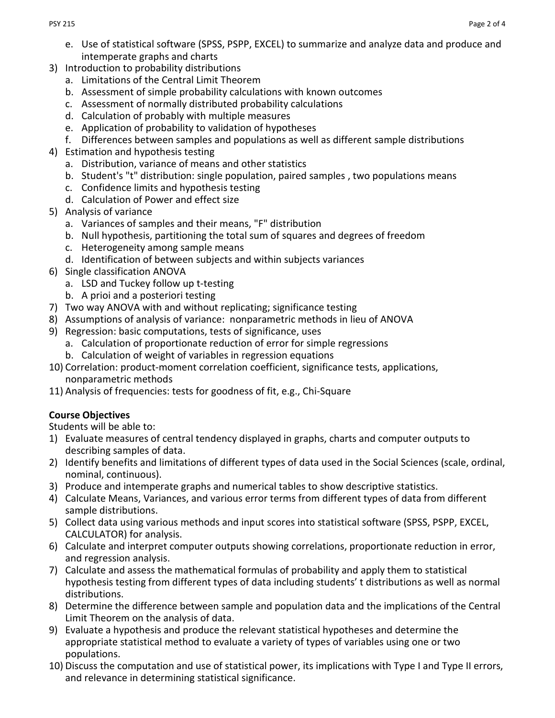- e. Use of statistical software (SPSS, PSPP, EXCEL) to summarize and analyze data and produce and intemperate graphs and charts
- 3) Introduction to probability distributions
	- a. Limitations of the Central Limit Theorem
	- b. Assessment of simple probability calculations with known outcomes
	- c. Assessment of normally distributed probability calculations
	- d. Calculation of probably with multiple measures
	- e. Application of probability to validation of hypotheses
	- f. Differences between samples and populations as well as different sample distributions
- 4) Estimation and hypothesis testing
	- a. Distribution, variance of means and other statistics
	- b. Student's "t" distribution: single population, paired samples , two populations means
	- c. Confidence limits and hypothesis testing
	- d. Calculation of Power and effect size
- 5) Analysis of variance
	- a. Variances of samples and their means, "F" distribution
	- b. Null hypothesis, partitioning the total sum of squares and degrees of freedom
	- c. Heterogeneity among sample means
	- d. Identification of between subjects and within subjects variances
- 6) Single classification ANOVA
	- a. LSD and Tuckey follow up t-testing
	- b. A prioi and a posteriori testing
- 7) Two way ANOVA with and without replicating; significance testing
- 8) Assumptions of analysis of variance: nonparametric methods in lieu of ANOVA
- 9) Regression: basic computations, tests of significance, uses
	- a. Calculation of proportionate reduction of error for simple regressions
	- b. Calculation of weight of variables in regression equations
- 10) Correlation: product-moment correlation coefficient, significance tests, applications, nonparametric methods
- 11) Analysis of frequencies: tests for goodness of fit, e.g., Chi-Square

# **Course Objectives**

Students will be able to:

- 1) Evaluate measures of central tendency displayed in graphs, charts and computer outputs to describing samples of data.
- 2) Identify benefits and limitations of different types of data used in the Social Sciences (scale, ordinal, nominal, continuous).
- 3) Produce and intemperate graphs and numerical tables to show descriptive statistics.
- 4) Calculate Means, Variances, and various error terms from different types of data from different sample distributions.
- 5) Collect data using various methods and input scores into statistical software (SPSS, PSPP, EXCEL, CALCULATOR) for analysis.
- 6) Calculate and interpret computer outputs showing correlations, proportionate reduction in error, and regression analysis.
- 7) Calculate and assess the mathematical formulas of probability and apply them to statistical hypothesis testing from different types of data including students' t distributions as well as normal distributions.
- 8) Determine the difference between sample and population data and the implications of the Central Limit Theorem on the analysis of data.
- 9) Evaluate a hypothesis and produce the relevant statistical hypotheses and determine the appropriate statistical method to evaluate a variety of types of variables using one or two populations.
- 10) Discuss the computation and use of statistical power, its implications with Type I and Type II errors, and relevance in determining statistical significance.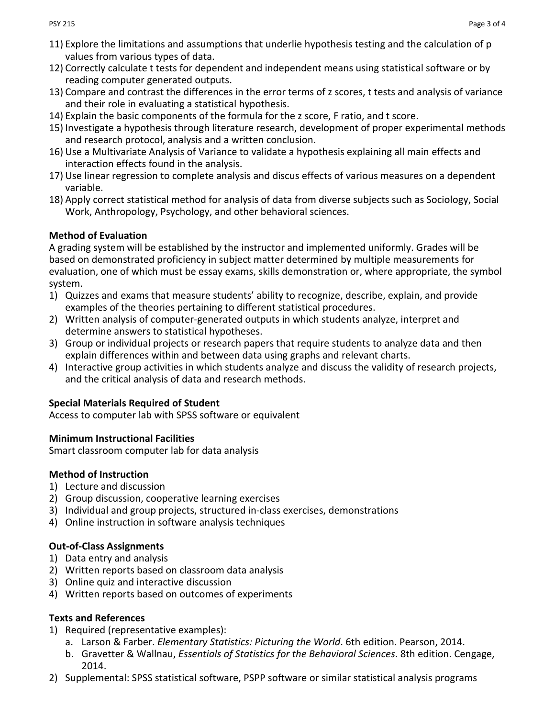- 11) Explore the limitations and assumptions that underlie hypothesis testing and the calculation of p values from various types of data.
- 12) Correctly calculate t tests for dependent and independent means using statistical software or by reading computer generated outputs.
- 13) Compare and contrast the differences in the error terms of z scores, t tests and analysis of variance and their role in evaluating a statistical hypothesis.
- 14) Explain the basic components of the formula for the z score, F ratio, and t score.
- 15) Investigate a hypothesis through literature research, development of proper experimental methods and research protocol, analysis and a written conclusion.
- 16) Use a Multivariate Analysis of Variance to validate a hypothesis explaining all main effects and interaction effects found in the analysis.
- 17) Use linear regression to complete analysis and discus effects of various measures on a dependent variable.
- 18) Apply correct statistical method for analysis of data from diverse subjects such as Sociology, Social Work, Anthropology, Psychology, and other behavioral sciences.

## **Method of Evaluation**

A grading system will be established by the instructor and implemented uniformly. Grades will be based on demonstrated proficiency in subject matter determined by multiple measurements for evaluation, one of which must be essay exams, skills demonstration or, where appropriate, the symbol system.

- 1) Quizzes and exams that measure students' ability to recognize, describe, explain, and provide examples of the theories pertaining to different statistical procedures.
- 2) Written analysis of computer-generated outputs in which students analyze, interpret and determine answers to statistical hypotheses.
- 3) Group or individual projects or research papers that require students to analyze data and then explain differences within and between data using graphs and relevant charts.
- 4) Interactive group activities in which students analyze and discuss the validity of research projects, and the critical analysis of data and research methods.

### **Special Materials Required of Student**

Access to computer lab with SPSS software or equivalent

### **Minimum Instructional Facilities**

Smart classroom computer lab for data analysis

# **Method of Instruction**

- 1) Lecture and discussion
- 2) Group discussion, cooperative learning exercises
- 3) Individual and group projects, structured in-class exercises, demonstrations
- 4) Online instruction in software analysis techniques

# **Out-of-Class Assignments**

- 1) Data entry and analysis
- 2) Written reports based on classroom data analysis
- 3) Online quiz and interactive discussion
- 4) Written reports based on outcomes of experiments

# **Texts and References**

- 1) Required (representative examples):
	- a. Larson & Farber. *Elementary Statistics: Picturing the World*. 6th edition. Pearson, 2014.
	- b. Gravetter & Wallnau, *Essentials of Statistics for the Behavioral Sciences*. 8th edition. Cengage, 2014.
- 2) Supplemental: SPSS statistical software, PSPP software or similar statistical analysis programs